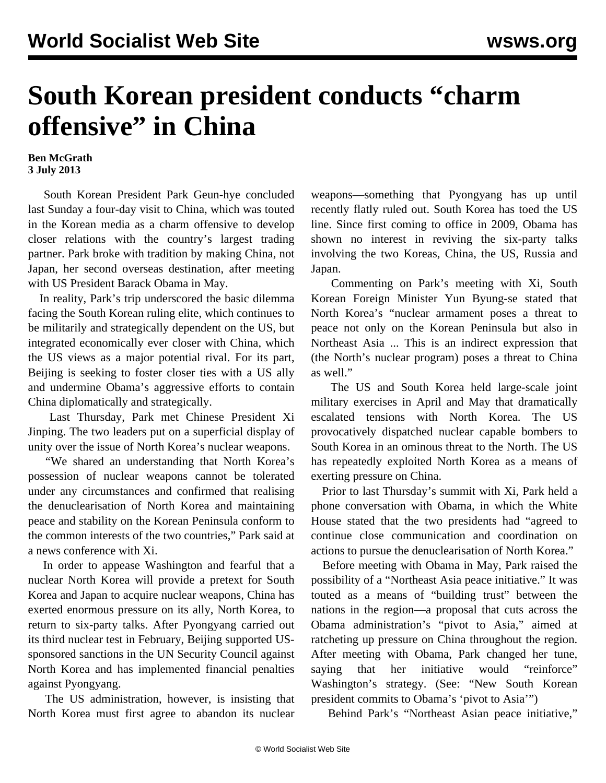## **South Korean president conducts "charm offensive" in China**

## **Ben McGrath 3 July 2013**

 South Korean President Park Geun-hye concluded last Sunday a four-day visit to China, which was touted in the Korean media as a charm offensive to develop closer relations with the country's largest trading partner. Park broke with tradition by making China, not Japan, her second overseas destination, after meeting with US President Barack Obama in May.

 In reality, Park's trip underscored the basic dilemma facing the South Korean ruling elite, which continues to be militarily and strategically dependent on the US, but integrated economically ever closer with China, which the US views as a major potential rival. For its part, Beijing is seeking to foster closer ties with a US ally and undermine Obama's aggressive efforts to contain China diplomatically and strategically.

 Last Thursday, Park met Chinese President Xi Jinping. The two leaders put on a superficial display of unity over the issue of North Korea's nuclear weapons.

 "We shared an understanding that North Korea's possession of nuclear weapons cannot be tolerated under any circumstances and confirmed that realising the denuclearisation of North Korea and maintaining peace and stability on the Korean Peninsula conform to the common interests of the two countries," Park said at a news conference with Xi.

 In order to appease Washington and fearful that a nuclear North Korea will provide a pretext for South Korea and Japan to acquire nuclear weapons, China has exerted enormous pressure on its ally, North Korea, to return to six-party talks. After Pyongyang carried out its third nuclear test in February, Beijing supported USsponsored sanctions in the UN Security Council against North Korea and has implemented financial penalties against Pyongyang.

 The US administration, however, is insisting that North Korea must first agree to abandon its nuclear weapons—something that Pyongyang has up until recently flatly ruled out. South Korea has toed the US line. Since first coming to office in 2009, Obama has shown no interest in reviving the six-party talks involving the two Koreas, China, the US, Russia and Japan.

 Commenting on Park's meeting with Xi, South Korean Foreign Minister Yun Byung-se stated that North Korea's "nuclear armament poses a threat to peace not only on the Korean Peninsula but also in Northeast Asia ... This is an indirect expression that (the North's nuclear program) poses a threat to China as well."

 The US and South Korea held large-scale joint military exercises in April and May that dramatically escalated tensions with North Korea. The US provocatively dispatched nuclear capable bombers to South Korea in an ominous threat to the North. The US has repeatedly exploited North Korea as a means of exerting pressure on China.

 Prior to last Thursday's summit with Xi, Park held a phone conversation with Obama, in which the White House stated that the two presidents had "agreed to continue close communication and coordination on actions to pursue the denuclearisation of North Korea."

 Before meeting with Obama in May, Park raised the possibility of a "Northeast Asia peace initiative." It was touted as a means of "building trust" between the nations in the region—a proposal that cuts across the Obama administration's "pivot to Asia," aimed at ratcheting up pressure on China throughout the region. After meeting with Obama, Park changed her tune, saying that her initiative would "reinforce" Washington's strategy. (See: ["New South Korean](/en/articles/2013/05/15/kore-m15.html) [president commits to Obama's 'pivot to Asia'](/en/articles/2013/05/15/kore-m15.html)")

Behind Park's "Northeast Asian peace initiative,"